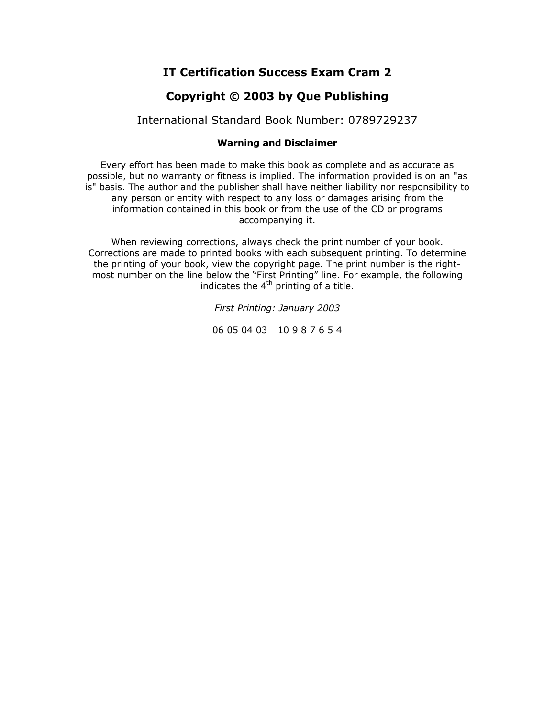## **IT Certification Success Exam Cram 2**

## **Copyright © 2003 by Que Publishing**

### International Standard Book Number: 0789729237

#### **Warning and Disclaimer**

Every effort has been made to make this book as complete and as accurate as possible, but no warranty or fitness is implied. The information provided is on an "as is" basis. The author and the publisher shall have neither liability nor responsibility to any person or entity with respect to any loss or damages arising from the information contained in this book or from the use of the CD or programs accompanying it.

When reviewing corrections, always check the print number of your book. Corrections are made to printed books with each subsequent printing. To determine the printing of your book, view the copyright page. The print number is the rightmost number on the line below the "First Printing" line. For example, the following indicates the  $4^{th}$  printing of a title.

*First Printing: January 2003*

06 05 04 03 10 9 8 7 6 5 4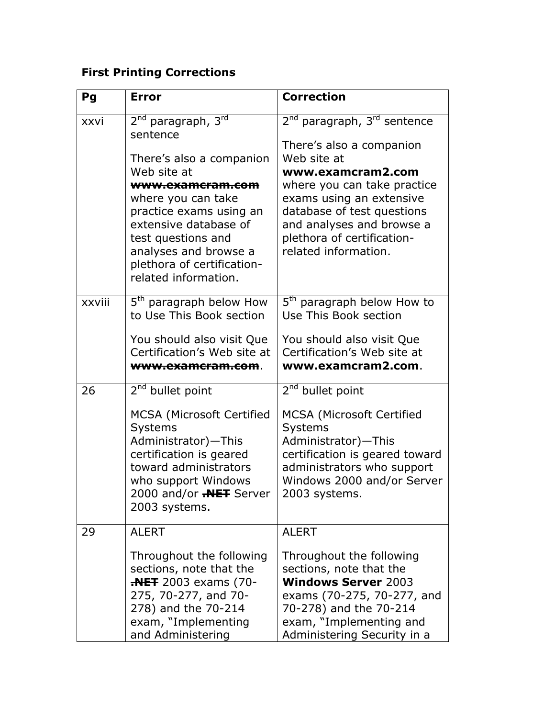# **First Printing Corrections**

| Pg     | <b>Error</b>                                                                                                                                                                                                                                                                                         | <b>Correction</b>                                                                                                                                                                                                                                                                               |
|--------|------------------------------------------------------------------------------------------------------------------------------------------------------------------------------------------------------------------------------------------------------------------------------------------------------|-------------------------------------------------------------------------------------------------------------------------------------------------------------------------------------------------------------------------------------------------------------------------------------------------|
| xxvi   | 2 <sup>nd</sup> paragraph, 3 <sup>rd</sup><br>sentence<br>There's also a companion<br>Web site at<br>www.examcram.com<br>where you can take<br>practice exams using an<br>extensive database of<br>test questions and<br>analyses and browse a<br>plethora of certification-<br>related information. | 2 <sup>nd</sup> paragraph, 3 <sup>rd</sup> sentence<br>There's also a companion<br>Web site at<br>www.examcram2.com<br>where you can take practice<br>exams using an extensive<br>database of test questions<br>and analyses and browse a<br>plethora of certification-<br>related information. |
| xxviii | 5 <sup>th</sup> paragraph below How<br>to Use This Book section<br>You should also visit Que<br>Certification's Web site at<br><del>www.examcram.com</del> .                                                                                                                                         | 5 <sup>th</sup> paragraph below How to<br>Use This Book section<br>You should also visit Que<br>Certification's Web site at<br>www.examcram2.com.                                                                                                                                               |
| 26     | 2 <sup>nd</sup> bullet point<br><b>MCSA (Microsoft Certified</b><br><b>Systems</b><br>Administrator)-This<br>certification is geared<br>toward administrators<br>who support Windows<br>2000 and/or <b>.NET</b> Server<br>2003 systems.                                                              | 2 <sup>nd</sup> bullet point<br>MCSA (Microsoft Certified<br><b>Systems</b><br>Administrator)-This<br>certification is geared toward<br>administrators who support<br>Windows 2000 and/or Server<br>2003 systems.                                                                               |
| 29     | <b>ALERT</b><br>Throughout the following<br>sections, note that the<br><b>-NET</b> 2003 exams (70-<br>275, 70-277, and 70-<br>278) and the 70-214<br>exam, "Implementing<br>and Administering                                                                                                        | <b>ALERT</b><br>Throughout the following<br>sections, note that the<br><b>Windows Server 2003</b><br>exams (70-275, 70-277, and<br>70-278) and the 70-214<br>exam, "Implementing and<br>Administering Security in a                                                                             |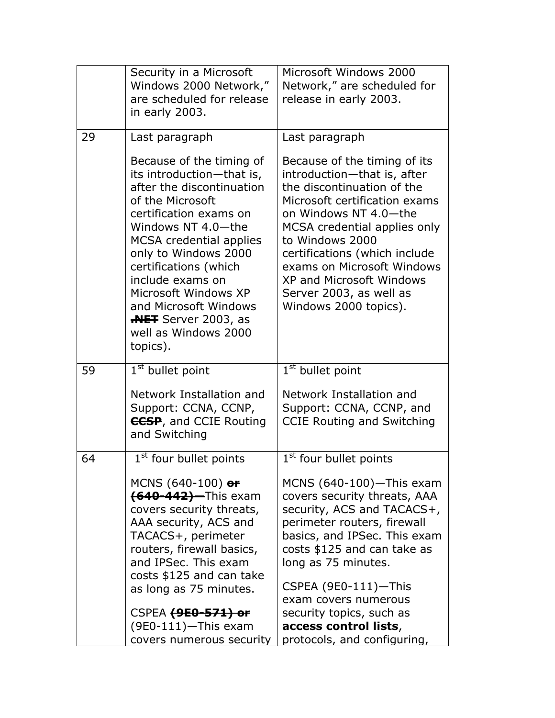|    | Security in a Microsoft<br>Windows 2000 Network,"<br>are scheduled for release<br>in early 2003.                                                                                                                                                                                                                                                                                 | Microsoft Windows 2000<br>Network," are scheduled for<br>release in early 2003.                                                                                                                                                                                                                                                                              |
|----|----------------------------------------------------------------------------------------------------------------------------------------------------------------------------------------------------------------------------------------------------------------------------------------------------------------------------------------------------------------------------------|--------------------------------------------------------------------------------------------------------------------------------------------------------------------------------------------------------------------------------------------------------------------------------------------------------------------------------------------------------------|
| 29 | Last paragraph                                                                                                                                                                                                                                                                                                                                                                   | Last paragraph                                                                                                                                                                                                                                                                                                                                               |
|    | Because of the timing of<br>its introduction-that is,<br>after the discontinuation<br>of the Microsoft<br>certification exams on<br>Windows NT 4.0-the<br><b>MCSA</b> credential applies<br>only to Windows 2000<br>certifications (which<br>include exams on<br>Microsoft Windows XP<br>and Microsoft Windows<br><b>REF</b> Server 2003, as<br>well as Windows 2000<br>topics). | Because of the timing of its<br>introduction-that is, after<br>the discontinuation of the<br>Microsoft certification exams<br>on Windows NT 4.0-the<br>MCSA credential applies only<br>to Windows 2000<br>certifications (which include<br>exams on Microsoft Windows<br><b>XP and Microsoft Windows</b><br>Server 2003, as well as<br>Windows 2000 topics). |
| 59 | $1st$ bullet point                                                                                                                                                                                                                                                                                                                                                               | 1 <sup>st</sup> bullet point                                                                                                                                                                                                                                                                                                                                 |
|    | Network Installation and<br>Support: CCNA, CCNP,<br><b>CCSP</b> , and CCIE Routing<br>and Switching                                                                                                                                                                                                                                                                              | Network Installation and<br>Support: CCNA, CCNP, and<br><b>CCIE Routing and Switching</b>                                                                                                                                                                                                                                                                    |
| 64 | 1 <sup>st</sup> four bullet points                                                                                                                                                                                                                                                                                                                                               | 1 <sup>st</sup> four bullet points                                                                                                                                                                                                                                                                                                                           |
|    | MCNS $(640-100)$ or<br>(640-442)—This exam<br>covers security threats,<br>AAA security, ACS and<br>TACACS+, perimeter<br>routers, firewall basics,<br>and IPSec. This exam<br>costs \$125 and can take<br>as long as 75 minutes.                                                                                                                                                 | MCNS $(640-100)$ -This exam<br>covers security threats, AAA<br>security, ACS and TACACS+,<br>perimeter routers, firewall<br>basics, and IPSec. This exam<br>costs \$125 and can take as<br>long as 75 minutes.<br>CSPEA (9E0-111)-This<br>exam covers numerous                                                                                               |
|    | CSPEA (9E0-571) or<br>$(9E0-111)$ -This exam                                                                                                                                                                                                                                                                                                                                     | security topics, such as<br>access control lists,                                                                                                                                                                                                                                                                                                            |
|    | covers numerous security                                                                                                                                                                                                                                                                                                                                                         | protocols, and configuring,                                                                                                                                                                                                                                                                                                                                  |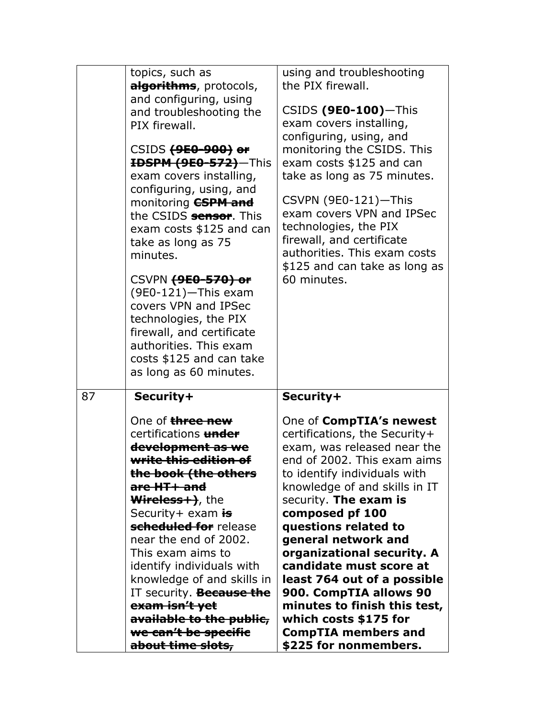|    | topics, such as<br>algorithms, protocols,<br>and configuring, using<br>and troubleshooting the<br>PIX firewall.                                                                                                                                                                                                                                                                                                                                                                                    | using and troubleshooting<br>the PIX firewall.<br>$CSIDS(9E0-100)$ -This<br>exam covers installing,                                                                                                                                                                                                                                                                                                                                                                                                                  |
|----|----------------------------------------------------------------------------------------------------------------------------------------------------------------------------------------------------------------------------------------------------------------------------------------------------------------------------------------------------------------------------------------------------------------------------------------------------------------------------------------------------|----------------------------------------------------------------------------------------------------------------------------------------------------------------------------------------------------------------------------------------------------------------------------------------------------------------------------------------------------------------------------------------------------------------------------------------------------------------------------------------------------------------------|
|    | CSIDS (9E0-900) or<br>HDSPM (9E0-572)-This<br>exam covers installing,<br>configuring, using, and<br>monitoring <b>CSPM and</b><br>the CSIDS sensor. This<br>exam costs \$125 and can<br>take as long as 75<br>minutes.<br>CSVPN (9E0-570) or<br>(9E0-121)-This exam<br>covers VPN and IPSec<br>technologies, the PIX<br>firewall, and certificate<br>authorities. This exam<br>costs \$125 and can take<br>as long as 60 minutes.                                                                  | configuring, using, and<br>monitoring the CSIDS. This<br>exam costs \$125 and can<br>take as long as 75 minutes.<br>CSVPN (9E0-121)-This<br>exam covers VPN and IPSec<br>technologies, the PIX<br>firewall, and certificate<br>authorities. This exam costs<br>\$125 and can take as long as<br>60 minutes.                                                                                                                                                                                                          |
| 87 | Security+                                                                                                                                                                                                                                                                                                                                                                                                                                                                                          | Security+                                                                                                                                                                                                                                                                                                                                                                                                                                                                                                            |
|    | One of three new<br>certifications under<br><del>development as we</del><br><del>write this edition of</del><br><del>the book (the others</del><br>are HT+ and<br><b>Wireless + &gt;&gt;</b> , the<br>Security+ exam is<br>scheduled for release<br>near the end of 2002.<br>This exam aims to<br>identify individuals with<br>knowledge of and skills in<br>IT security. <b>Because the</b><br>exam isn't yet<br><del>available to the public,</del><br>we can't be specifie<br>about time slots, | One of CompTIA's newest<br>certifications, the Security+<br>exam, was released near the<br>end of 2002. This exam aims<br>to identify individuals with<br>knowledge of and skills in IT<br>security. The exam is<br>composed pf 100<br>questions related to<br>general network and<br>organizational security. A<br>candidate must score at<br>least 764 out of a possible<br>900. CompTIA allows 90<br>minutes to finish this test,<br>which costs \$175 for<br><b>CompTIA members and</b><br>\$225 for nonmembers. |